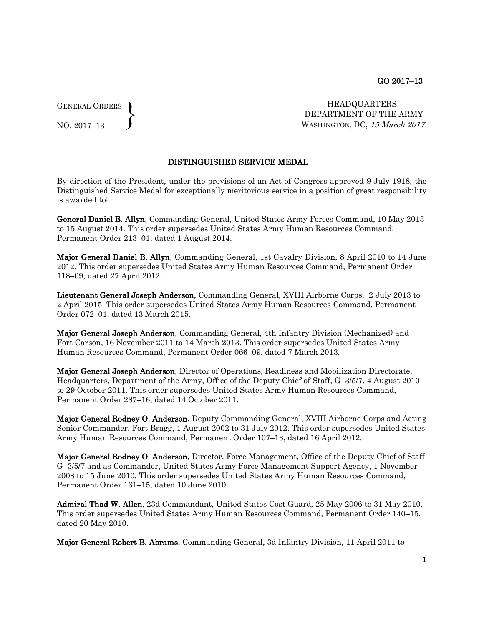GENERAL ORDERS  $\left\{ \right\}$ 

NO. 2017–13

HEADQUARTERS DEPARTMENT OF THE ARMY WASHINGTON, DC, 15 March 2017

## DISTINGUISHED SERVICE MEDAL

By direction of the President, under the provisions of an Act of Congress approved 9 July 1918, the Distinguished Service Medal for exceptionally meritorious service in a position of great responsibility is awarded to:

General Daniel B. Allyn, Commanding General, United States Army Forces Command, 10 May 2013 to 15 August 2014. This order supersedes United States Army Human Resources Command, Permanent Order 213–01, dated 1 August 2014.

Major General Daniel B. Allyn, Commanding General, 1st Cavalry Division, 8 April 2010 to 14 June 2012. This order supersedes United States Army Human Resources Command, Permanent Order 118–09, dated 27 April 2012.

Lieutenant General Joseph Anderson, Commanding General, XVIII Airborne Corps, 2 July 2013 to 2 April 2015. This order supersedes United States Army Human Resources Command, Permanent Order 072–01, dated 13 March 2015.

Major General Joseph Anderson, Commanding General, 4th Infantry Division (Mechanized) and Fort Carson, 16 November 2011 to 14 March 2013. This order supersedes United States Army Human Resources Command, Permanent Order 066–09, dated 7 March 2013.

Major General Joseph Anderson, Director of Operations, Readiness and Mobilization Directorate, Headquarters, Department of the Army, Office of the Deputy Chief of Staff, G–3/5/7, 4 August 2010 to 29 October 2011. This order supersedes United States Army Human Resources Command, Permanent Order 287–16, dated 14 October 2011.

Major General Rodney O. Anderson, Deputy Commanding General, XVIII Airborne Corps and Acting Senior Commander, Fort Bragg, 1 August 2002 to 31 July 2012. This order supersedes United States Army Human Resources Command, Permanent Order 107–13, dated 16 April 2012.

Major General Rodney O. Anderson, Director, Force Management, Office of the Deputy Chief of Staff G–3/5/7 and as Commander, United States Army Force Management Support Agency, 1 November 2008 to 15 June 2010. This order supersedes United States Army Human Resources Command, Permanent Order 161–15, dated 10 June 2010.

Admiral Thad W. Allen, 23d Commandant, United States Cost Guard, 25 May 2006 to 31 May 2010. This order supersedes United States Army Human Resources Command, Permanent Order 140–15, dated 20 May 2010.

Major General Robert B. Abrams, Commanding General, 3d Infantry Division, 11 April 2011 to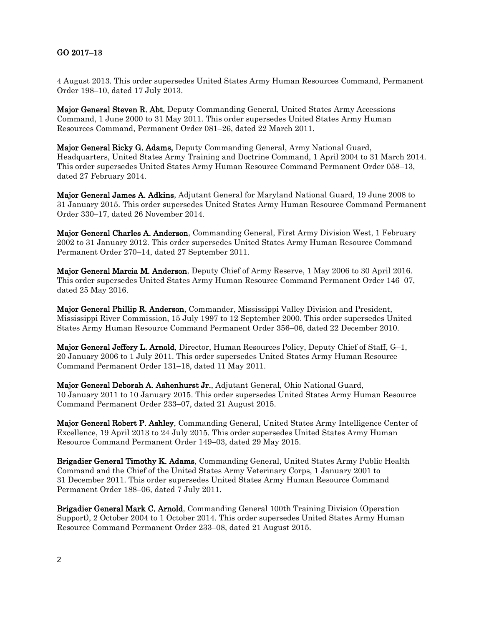## GO 2017–13

4 August 2013. This order supersedes United States Army Human Resources Command, Permanent Order 198–10, dated 17 July 2013.

Major General Steven R. Abt, Deputy Commanding General, United States Army Accessions Command, 1 June 2000 to 31 May 2011. This order supersedes United States Army Human Resources Command, Permanent Order 081–26, dated 22 March 2011.

Major General Ricky G. Adams, Deputy Commanding General, Army National Guard, Headquarters, United States Army Training and Doctrine Command, 1 April 2004 to 31 March 2014. This order supersedes United States Army Human Resource Command Permanent Order 058–13, dated 27 February 2014.

Major General James A. Adkins, Adjutant General for Maryland National Guard, 19 June 2008 to 31 January 2015. This order supersedes United States Army Human Resource Command Permanent Order 330–17, dated 26 November 2014.

Major General Charles A. Anderson, Commanding General, First Army Division West, 1 February 2002 to 31 January 2012. This order supersedes United States Army Human Resource Command Permanent Order 270–14, dated 27 September 2011.

Major General Marcia M. Anderson, Deputy Chief of Army Reserve, 1 May 2006 to 30 April 2016. This order supersedes United States Army Human Resource Command Permanent Order 146–07, dated 25 May 2016.

Major General Phillip R. Anderson, Commander, Mississippi Valley Division and President, Mississippi River Commission, 15 July 1997 to 12 September 2000. This order supersedes United States Army Human Resource Command Permanent Order 356–06, dated 22 December 2010.

Major General Jeffery L. Arnold, Director, Human Resources Policy, Deputy Chief of Staff, G–1, 20 January 2006 to 1 July 2011. This order supersedes United States Army Human Resource Command Permanent Order 131–18, dated 11 May 2011.

Major General Deborah A. Ashenhurst Jr., Adjutant General, Ohio National Guard, 10 January 2011 to 10 January 2015. This order supersedes United States Army Human Resource Command Permanent Order 233–07, dated 21 August 2015.

Major General Robert P. Ashley, Commanding General, United States Army Intelligence Center of Excellence, 19 April 2013 to 24 July 2015. This order supersedes United States Army Human Resource Command Permanent Order 149–03, dated 29 May 2015.

Brigadier General Timothy K. Adams, Commanding General, United States Army Public Health Command and the Chief of the United States Army Veterinary Corps, 1 January 2001 to 31 December 2011. This order supersedes United States Army Human Resource Command Permanent Order 188–06, dated 7 July 2011.

Brigadier General Mark C. Arnold, Commanding General 100th Training Division (Operation Support), 2 October 2004 to 1 October 2014. This order supersedes United States Army Human Resource Command Permanent Order 233–08, dated 21 August 2015.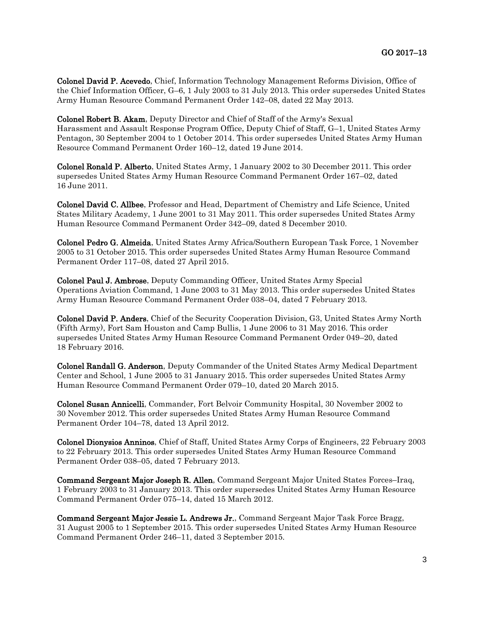Colonel David P. Acevedo, Chief, Information Technology Management Reforms Division, Office of the Chief Information Officer, G–6, 1 July 2003 to 31 July 2013. This order supersedes United States Army Human Resource Command Permanent Order 142–08, dated 22 May 2013.

Colonel Robert B. Akam, Deputy Director and Chief of Staff of the Army's Sexual Harassment and Assault Response Program Office, Deputy Chief of Staff, G–1, United States Army Pentagon, 30 September 2004 to 1 October 2014. This order supersedes United States Army Human Resource Command Permanent Order 160–12, dated 19 June 2014.

Colonel Ronald P. Alberto, United States Army, 1 January 2002 to 30 December 2011. This order supersedes United States Army Human Resource Command Permanent Order 167–02, dated 16 June 2011.

Colonel David C. Allbee, Professor and Head, Department of Chemistry and Life Science, United States Military Academy, 1 June 2001 to 31 May 2011. This order supersedes United States Army Human Resource Command Permanent Order 342–09, dated 8 December 2010.

Colonel Pedro G. Almeida, United States Army Africa/Southern European Task Force, 1 November 2005 to 31 October 2015. This order supersedes United States Army Human Resource Command Permanent Order 117–08, dated 27 April 2015.

Colonel Paul J. Ambrose, Deputy Commanding Officer, United States Army Special Operations Aviation Command, 1 June 2003 to 31 May 2013. This order supersedes United States Army Human Resource Command Permanent Order 038–04, dated 7 February 2013.

Colonel David P. Anders, Chief of the Security Cooperation Division, G3, United States Army North (Fifth Army), Fort Sam Houston and Camp Bullis, 1 June 2006 to 31 May 2016. This order supersedes United States Army Human Resource Command Permanent Order 049–20, dated 18 February 2016.

Colonel Randall G. Anderson, Deputy Commander of the United States Army Medical Department Center and School, 1 June 2005 to 31 January 2015. This order supersedes United States Army Human Resource Command Permanent Order 079–10, dated 20 March 2015.

Colonel Susan Annicelli, Commander, Fort Belvoir Community Hospital, 30 November 2002 to 30 November 2012. This order supersedes United States Army Human Resource Command Permanent Order 104–78, dated 13 April 2012.

Colonel Dionysios Anninos, Chief of Staff, United States Army Corps of Engineers, 22 February 2003 to 22 February 2013. This order supersedes United States Army Human Resource Command Permanent Order 038–05, dated 7 February 2013.

Command Sergeant Major Joseph R. Allen, Command Sergeant Major United States Forces–Iraq, 1 February 2003 to 31 January 2013. This order supersedes United States Army Human Resource Command Permanent Order 075–14, dated 15 March 2012.

Command Sergeant Major Jessie L. Andrews Jr., Command Sergeant Major Task Force Bragg, 31 August 2005 to 1 September 2015. This order supersedes United States Army Human Resource Command Permanent Order 246–11, dated 3 September 2015.